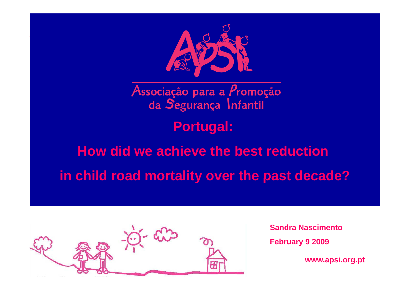

Associação para a Promoção da Segurança Infantil

**Portugal:** 

# **How did we achieve the best reduction**

**in child road mortality over the past decade?**



**Sandra NascimentoFebruary 9 2009**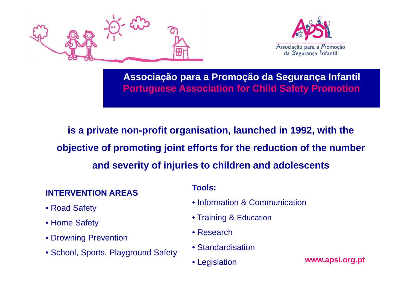



**Associação para <sup>a</sup> Promoção da Segurança Infantil Portuguese Association for Child Safety Promotion**

**is a private non-profit organisation, launched in 1992, with the**  objective of promoting joint efforts for the reduction of the number **and severity of injuries to children and adolescents**

#### **INTERVENTION AREAS**

- Road Safet y
- Home Safety
- Drowning Prevention
- **Example 19 values Standardisation**<br>
Standardisation Standardisation **www.apsi.org.pt**

#### **Tools:**

- Information & Communication
- Training & Education
- Research
- 
- Legislation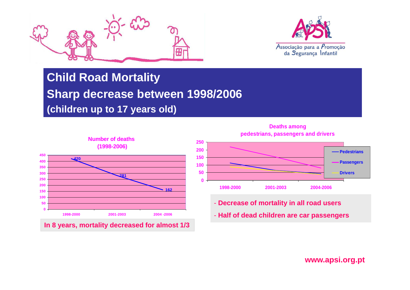



#### **Child Road Mortality**

### **Sharp decrease between 1998/2006**

**(children up to 17 years old)**



**Deaths among pedestrians, passengers and drivers**



- **Decrease of mortality in all road users**
- **Half of dead children are car passengers**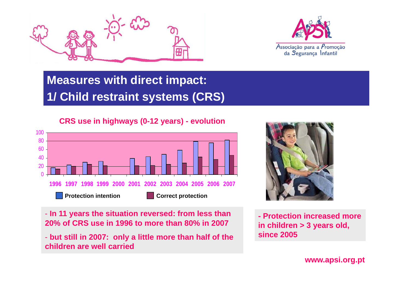



### **Measures with direct impact: 1/ Child restraint systems (CRS)**

#### **CRS use in highways (0-12 years) - evolution**



**f** - **In 11 years the situation reversed: from less than 20% of CRS use in 1996 to more than 80% in 2007**

- **but still in 2007: only a little more than half of the hild ll i dchildren are well carried**



**- Protection increased more in children > 3 years old, since 2005**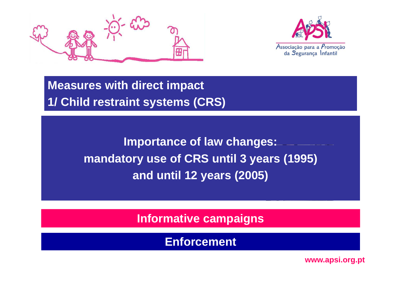



**Measures with direct impact 1/ Child restraint systems (CRS)**

> **Importance of law changes: mandatory use of CRS until 3 years (1995) and until 12 years (2005)**

> > **Informative campaigns**

**Enforcement**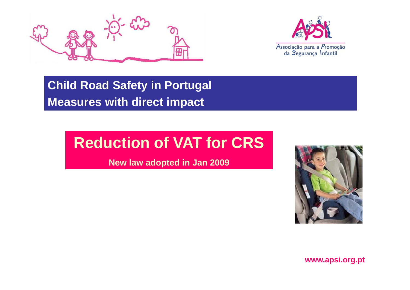



**Child Road Safety in Portugal Measures with direct impact**

# **Reduction of VAT for CRS CRS**

**New law adopted in Jan 2009**

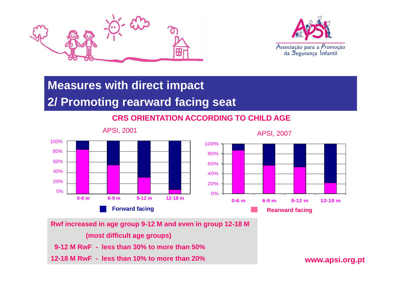



# **Measures with direct impact**

#### **2/ Promoting rearward facing seat**

#### **CRS ORIENTATION ACCORDING TO CHILD AGE**



APSI, 2007



**Rwf increased in age group 9-12 M and even in group 12-18 M (most difficult age groups)**

**9-12 M RwF - less than 30% to more than 50%** 

**12-18 M RwF - less than 10% to more than 20%**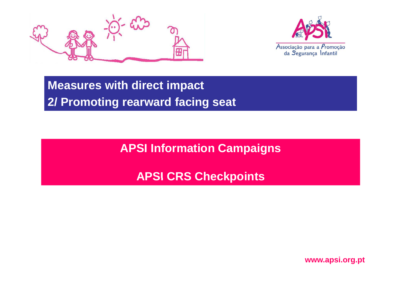



**Measures with direct impact 2/ Promoting rearward facing seat**

**APSI I f ti C i In formation Campaigns**

**APSI CRS Checkpoints**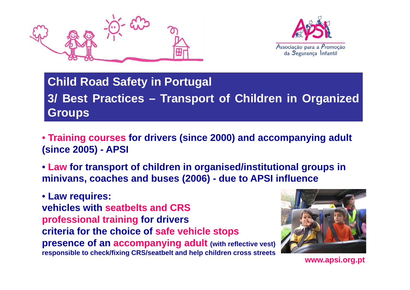



### **Child R d oa Sft <sup>a</sup> <sup>e</sup> y in Pt l or ugal 3/ Best Practices – Transport of Children in Organized Groups**

- **Training courses for drivers (since 2000) and accompanying adult (since 2005) - APSI**
- **Law for transport of children in organised/institutional groups in minivans coaches and buses (2006) minivans, buses (2006) - due to APSI influence**

• **Law requires: vehicles with seatbelts and CRS professional training for drivers criteria for the choice of safe vehicle stops presence of an accompanying adult (with reflective vest) responsible to check/fixing CRS/seatbelt and help children cross streets** 

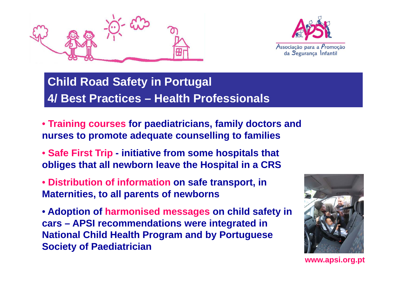



### **Child R d oa Sft <sup>a</sup> <sup>e</sup> y in Pt l or ugal 4/ Best Practices – Health Professionals**

- **Training courses for paediatricians, family doctors and nurses to promote adequate counselling to families**
- **Safe First Trip - initiative from some hospitals that obliges that all newborn leave the Hospital in a CRS**
- **Distribution of information on safe transport, in Maternities, to all parents of newborns**
- **Adoption of harmonised messages on child safety in cars – APSI recommendations were integrated in National Child Health Program and by Portuguese S i t f P di t i i Society of Paediatrician**

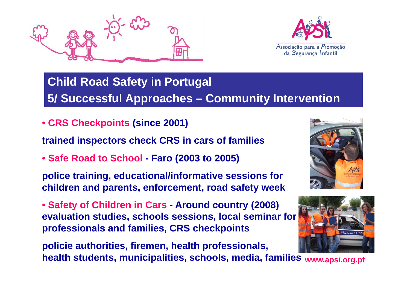



### **Child R d oa Sft <sup>a</sup> <sup>e</sup> y in Pt l or ugal 5/ Successful Approaches – Community Intervention**

• **CRS Checkpoints (since 2001)**

**trained inspectors check CRS in cars of families** 

• **Safe Road to School - Faro (2003 to 2005)**

**police training, educational/informative sessions for children and parents, enforcement, road safety week** 

• **Safety of Children in Cars - Around country (2008) evaluation studies, schools sessions, local seminar for professionals and families, CRS checkpoints**

**li i th iti fi h lth f i l policie authorities, firemen, health professionals, www.apsi.org.pt health students, municipalities, schools, media, families**



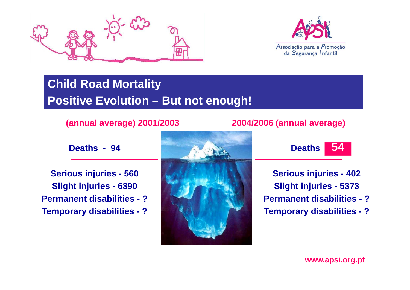



### **Child Road Mortality Positive Evolution – But not enough!**

#### **(annual average) 2001/2003**

**D h 94 Deaths -**

**Serious injuries - 560 j Slight injuries - 6390 Permanent disabilities - ?Temporary disabilities ?**



#### **2004/2006 (annual average)**



**Serious injuries - 402 j Slight injuries - 5373 Permanent disabilities - ?disabilities - Temporary disabilities disabilities - ?**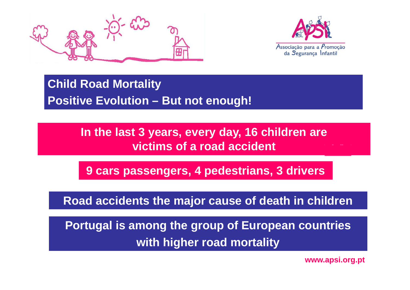



### **Child Road Mortality Positive Evolution – But not enough!**

#### **In the last 3 years, every day, 16 children are victims of a road accident**

**9 cars passengers, 4 pedestrians, 3 drivers**

**Road accidents the major cause of death in children**

**Portugal is among the group of European countries with higher road mortality**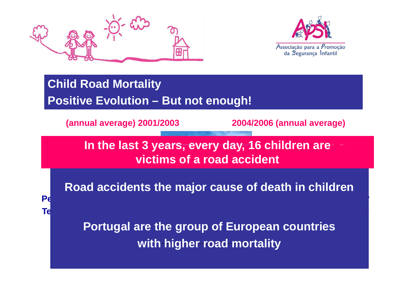



**Permanent disabilities - ?**

**Temporary disabilities ?**

### **Child Road Mortality Positive Evolution – But not enough!**

**(annual average) 2001/2003**

**Permanent disabilities - ?**

**Temporary disabilities ?**

**2004/2006 (annual average)**

In the last 3 years, every day, 16 children are<br>victims of a road accident

**Road accidents the major cause of death in children** 

**Portugal are the group of European countries with higher road mortality**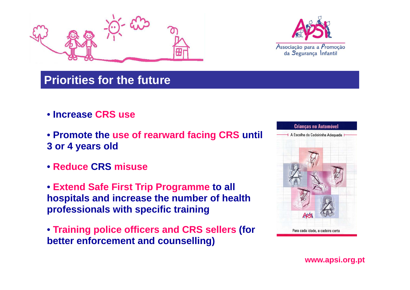



#### **Priorities for the future**

- **I CRS Increase CRS use**
- **Promote the use of rearward facing CRS until 3 or 4 years old years old**
- **Reduce CRS misuse**
- **Extend Safe First Trip Programme to all hospitals and increase the number of health professionals with specific training professionals with**
- **Training police officers and CRS sellers (for better enforcement and counselling) better**

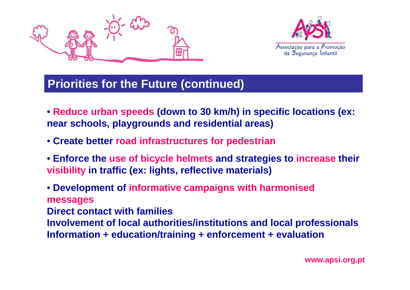



#### **Priorities for the Future (continued)**

- **Reduce urban speeds (down to 30 km/h) in specific locations (ex: near schools, playgrounds and residential areas)**
- **Create better road infrastructures for pedestrian**
- **Enforce the use of bicycle helmets and strategies to increase their visibility in traffic (ex: lights, reflective materials)**

• **Development of informative campaigns with harmonised messages Direct contact with familiesInvolvement of local authorities/institutions and local professionals Information + education/training + enforcement + evaluation**